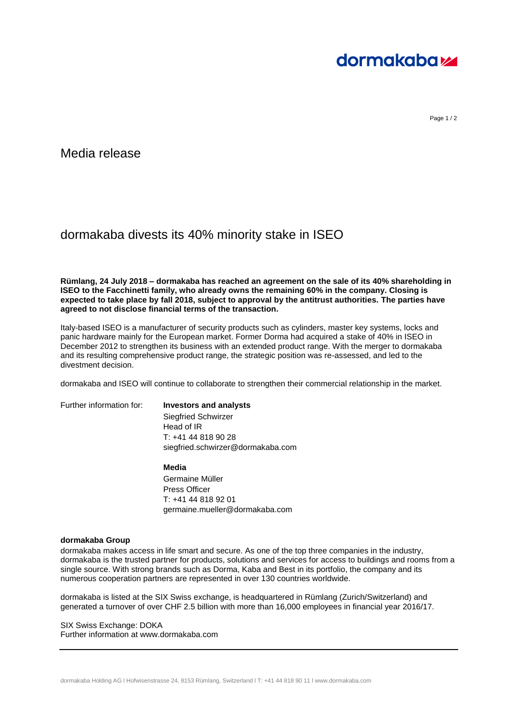

Page 1/2

Media release

## dormakaba divests its 40% minority stake in ISEO

**Rümlang, 24 July 2018 – dormakaba has reached an agreement on the sale of its 40% shareholding in ISEO to the Facchinetti family, who already owns the remaining 60% in the company. Closing is expected to take place by fall 2018, subject to approval by the antitrust authorities. The parties have agreed to not disclose financial terms of the transaction.**

Italy-based ISEO is a manufacturer of security products such as cylinders, master key systems, locks and panic hardware mainly for the European market. Former Dorma had acquired a stake of 40% in ISEO in December 2012 to strengthen its business with an extended product range. With the merger to dormakaba and its resulting comprehensive product range, the strategic position was re-assessed, and led to the divestment decision.

dormakaba and ISEO will continue to collaborate to strengthen their commercial relationship in the market.

## Further information for: **Investors and analysts**

Siegfried Schwirzer Head of IR T: +41 44 818 90 28 siegfried.schwirzer@dormakaba.com

**Media**

Germaine Müller Press Officer T: +41 44 818 92 01 germaine.mueller@dormakaba.com

## **dormakaba Group**

dormakaba makes access in life smart and secure. As one of the top three companies in the industry, dormakaba is the trusted partner for products, solutions and services for access to buildings and rooms from a single source. With strong brands such as Dorma, Kaba and Best in its portfolio, the company and its numerous cooperation partners are represented in over 130 countries worldwide.

dormakaba is listed at the SIX Swiss exchange, is headquartered in Rümlang (Zurich/Switzerland) and generated a turnover of over CHF 2.5 billion with more than 16,000 employees in financial year 2016/17.

SIX Swiss Exchange: DOKA Further information at www.dormakaba.com